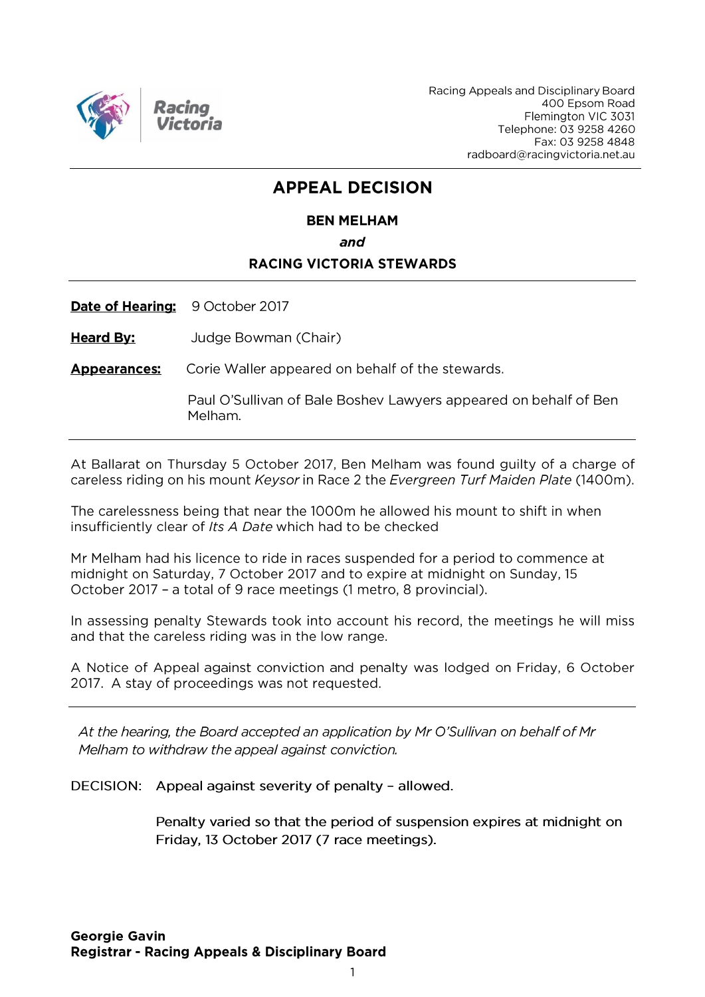

Racing Appeals and Disciplinary Board 400 Epsom Road Flemington VIC 3031 Telephone: 03 9258 4260 Fax: 03 9258 4848 radboard@racingvictoria.net.au

# **APPEAL DECISION**

# **BEN MELHAM** and **RACING VICTORIA STEWARDS**

**Heard By:** Judge Bowman (Chair)

Date of Hearing: 9 October 2017

**Appearances:** Corie Waller appeared on behalf of the stewards.

> Paul O'Sullivan of Bale Boshev Lawyers appeared on behalf of Ben Melham.

At Ballarat on Thursday 5 October 2017, Ben Melham was found guilty of a charge of careless riding on his mount Keysor in Race 2 the Evergreen Turf Maiden Plate (1400m).

The carelessness being that near the 1000m he allowed his mount to shift in when insufficiently clear of Its A Date which had to be checked

Mr Melham had his licence to ride in races suspended for a period to commence at midnight on Saturday, 7 October 2017 and to expire at midnight on Sunday, 15 October 2017 - a total of 9 race meetings (1 metro, 8 provincial).

In assessing penalty Stewards took into account his record, the meetings he will miss and that the careless riding was in the low range.

A Notice of Appeal against conviction and penalty was lodged on Friday, 6 October 2017. A stay of proceedings was not requested.

At the hearing, the Board accepted an application by Mr O'Sullivan on behalf of Mr Melham to withdraw the appeal against conviction.

DECISION: Appeal against severity of penalty - allowed.

Penalty varied so that the period of suspension expires at midnight on Friday, 13 October 2017 (7 race meetings).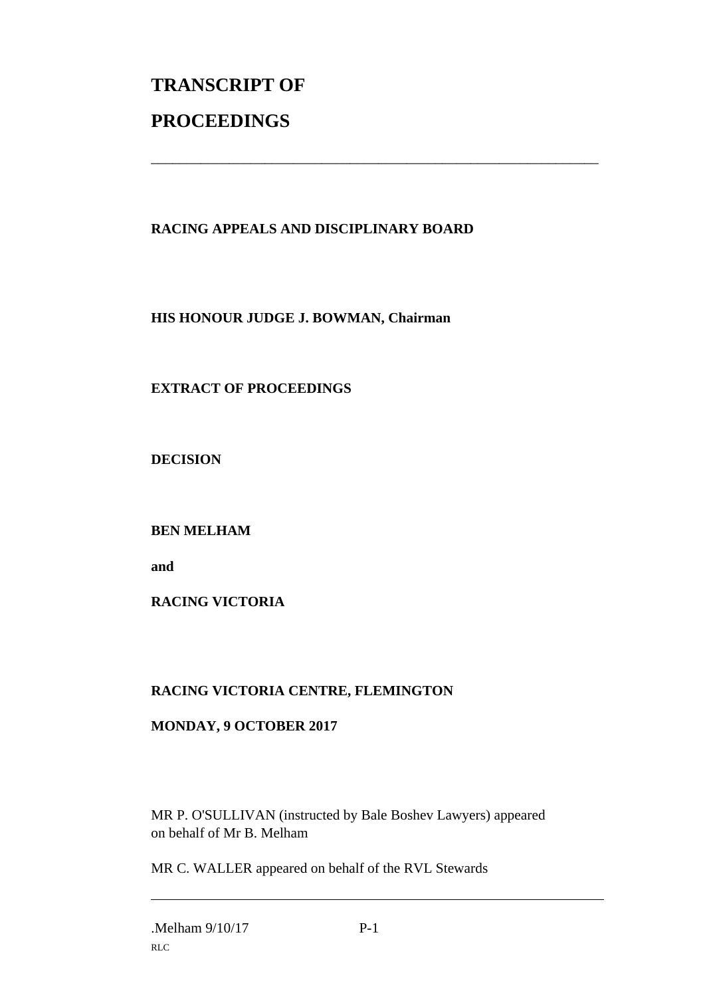# **TRANSCRIPT OF PROCEEDINGS**

## **RACING APPEALS AND DISCIPLINARY BOARD**

\_\_\_\_\_\_\_\_\_\_\_\_\_\_\_\_\_\_\_\_\_\_\_\_\_\_\_\_\_\_\_\_\_\_\_\_\_\_\_\_\_\_\_\_\_\_\_\_\_\_\_\_\_\_\_\_\_\_\_\_\_\_\_

**HIS HONOUR JUDGE J. BOWMAN, Chairman**

### **EXTRACT OF PROCEEDINGS**

**DECISION**

**BEN MELHAM**

**and** 

**RACING VICTORIA**

### **RACING VICTORIA CENTRE, FLEMINGTON**

### **MONDAY, 9 OCTOBER 2017**

MR P. O'SULLIVAN (instructed by Bale Boshev Lawyers) appeared on behalf of Mr B. Melham

MR C. WALLER appeared on behalf of the RVL Stewards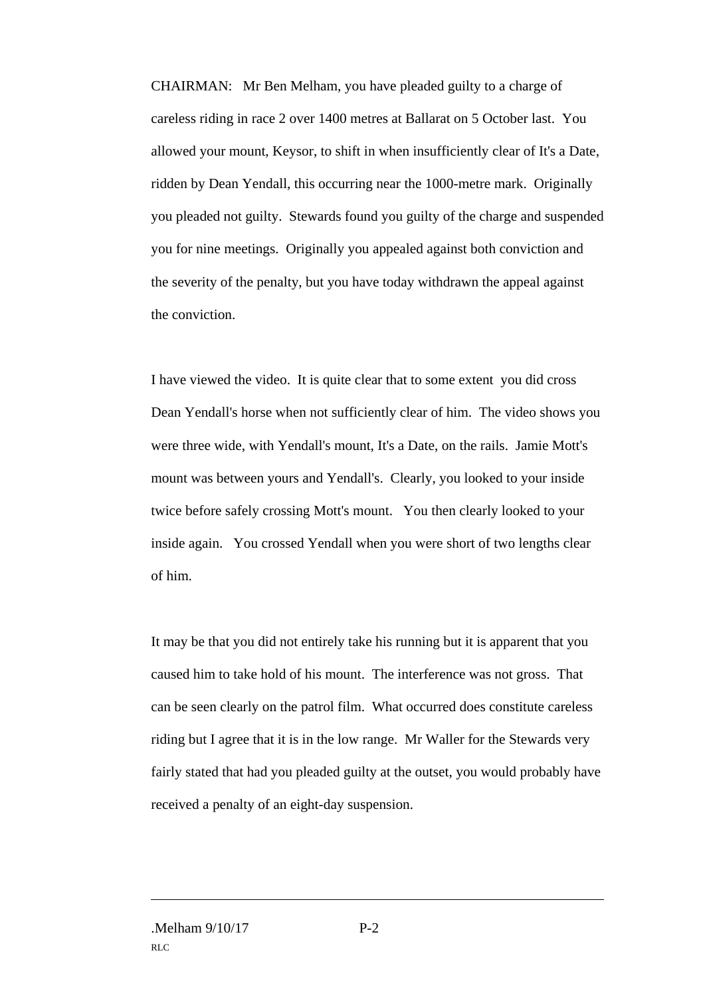CHAIRMAN: Mr Ben Melham, you have pleaded guilty to a charge of careless riding in race 2 over 1400 metres at Ballarat on 5 October last. You allowed your mount, Keysor, to shift in when insufficiently clear of It's a Date, ridden by Dean Yendall, this occurring near the 1000-metre mark. Originally you pleaded not guilty. Stewards found you guilty of the charge and suspended you for nine meetings. Originally you appealed against both conviction and the severity of the penalty, but you have today withdrawn the appeal against the conviction.

I have viewed the video. It is quite clear that to some extent you did cross Dean Yendall's horse when not sufficiently clear of him. The video shows you were three wide, with Yendall's mount, It's a Date, on the rails. Jamie Mott's mount was between yours and Yendall's. Clearly, you looked to your inside twice before safely crossing Mott's mount. You then clearly looked to your inside again. You crossed Yendall when you were short of two lengths clear of him.

It may be that you did not entirely take his running but it is apparent that you caused him to take hold of his mount. The interference was not gross. That can be seen clearly on the patrol film. What occurred does constitute careless riding but I agree that it is in the low range. Mr Waller for the Stewards very fairly stated that had you pleaded guilty at the outset, you would probably have received a penalty of an eight-day suspension.